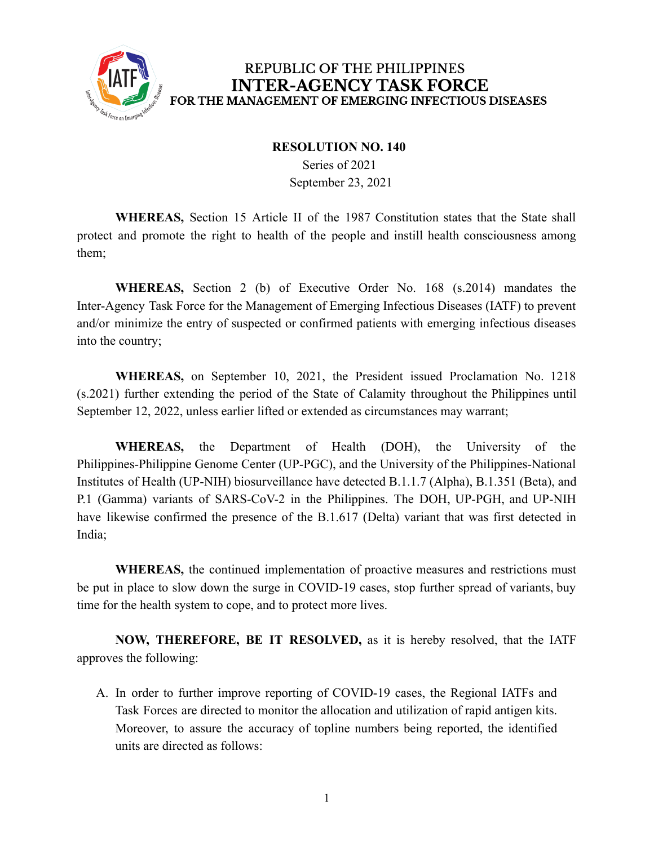

## **RESOLUTION NO. 140**

Series of 2021 September 23, 2021

**WHEREAS,** Section 15 Article II of the 1987 Constitution states that the State shall protect and promote the right to health of the people and instill health consciousness among them;

**WHEREAS,** Section 2 (b) of Executive Order No. 168 (s.2014) mandates the Inter-Agency Task Force for the Management of Emerging Infectious Diseases (IATF) to prevent and/or minimize the entry of suspected or confirmed patients with emerging infectious diseases into the country;

**WHEREAS,** on September 10, 2021, the President issued Proclamation No. 1218 (s.2021) further extending the period of the State of Calamity throughout the Philippines until September 12, 2022, unless earlier lifted or extended as circumstances may warrant;

**WHEREAS,** the Department of Health (DOH), the University of the Philippines-Philippine Genome Center (UP-PGC), and the University of the Philippines-National Institutes of Health (UP-NIH) biosurveillance have detected B.1.1.7 (Alpha), B.1.351 (Beta), and P.1 (Gamma) variants of SARS-CoV-2 in the Philippines. The DOH, UP-PGH, and UP-NIH have likewise confirmed the presence of the B.1.617 (Delta) variant that was first detected in India;

**WHEREAS,** the continued implementation of proactive measures and restrictions must be put in place to slow down the surge in COVID-19 cases, stop further spread of variants, buy time for the health system to cope, and to protect more lives.

**NOW, THEREFORE, BE IT RESOLVED,** as it is hereby resolved, that the IATF approves the following:

A. In order to further improve reporting of COVID-19 cases, the Regional IATFs and Task Forces are directed to monitor the allocation and utilization of rapid antigen kits. Moreover, to assure the accuracy of topline numbers being reported, the identified units are directed as follows: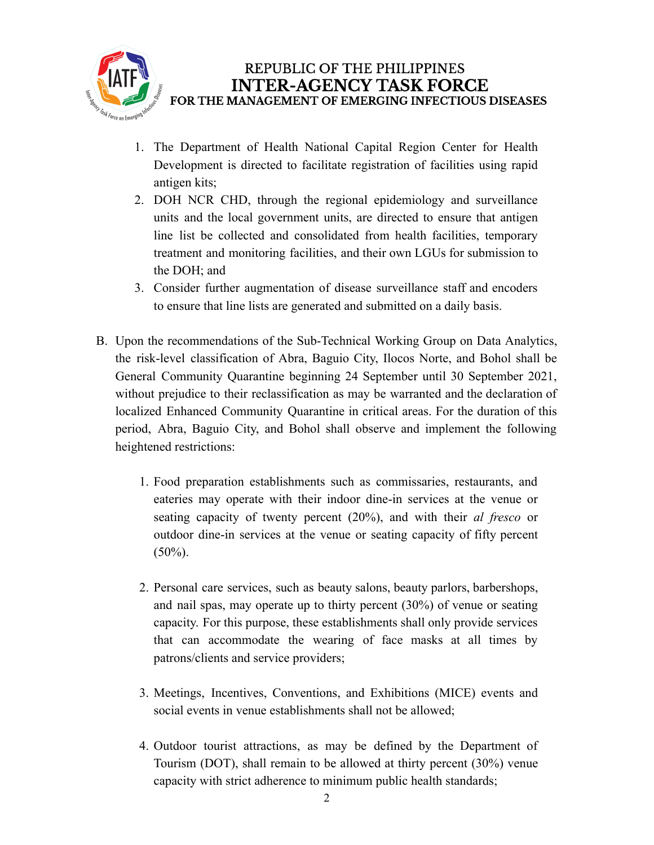

- 1. The Department of Health National Capital Region Center for Health Development is directed to facilitate registration of facilities using rapid antigen kits;
- 2. DOH NCR CHD, through the regional epidemiology and surveillance units and the local government units, are directed to ensure that antigen line list be collected and consolidated from health facilities, temporary treatment and monitoring facilities, and their own LGUs for submission to the DOH; and
- 3. Consider further augmentation of disease surveillance staff and encoders to ensure that line lists are generated and submitted on a daily basis.
- B. Upon the recommendations of the Sub-Technical Working Group on Data Analytics, the risk-level classification of Abra, Baguio City, Ilocos Norte, and Bohol shall be General Community Quarantine beginning 24 September until 30 September 2021, without prejudice to their reclassification as may be warranted and the declaration of localized Enhanced Community Quarantine in critical areas. For the duration of this period, Abra, Baguio City, and Bohol shall observe and implement the following heightened restrictions:
	- 1. Food preparation establishments such as commissaries, restaurants, and eateries may operate with their indoor dine-in services at the venue or seating capacity of twenty percent (20%), and with their *al fresco* or outdoor dine-in services at the venue or seating capacity of fifty percent  $(50\%)$ .
	- 2. Personal care services, such as beauty salons, beauty parlors, barbershops, and nail spas, may operate up to thirty percent (30%) of venue or seating capacity. For this purpose, these establishments shall only provide services that can accommodate the wearing of face masks at all times by patrons/clients and service providers;
	- 3. Meetings, Incentives, Conventions, and Exhibitions (MICE) events and social events in venue establishments shall not be allowed;
	- 4. Outdoor tourist attractions, as may be defined by the Department of Tourism (DOT), shall remain to be allowed at thirty percent (30%) venue capacity with strict adherence to minimum public health standards;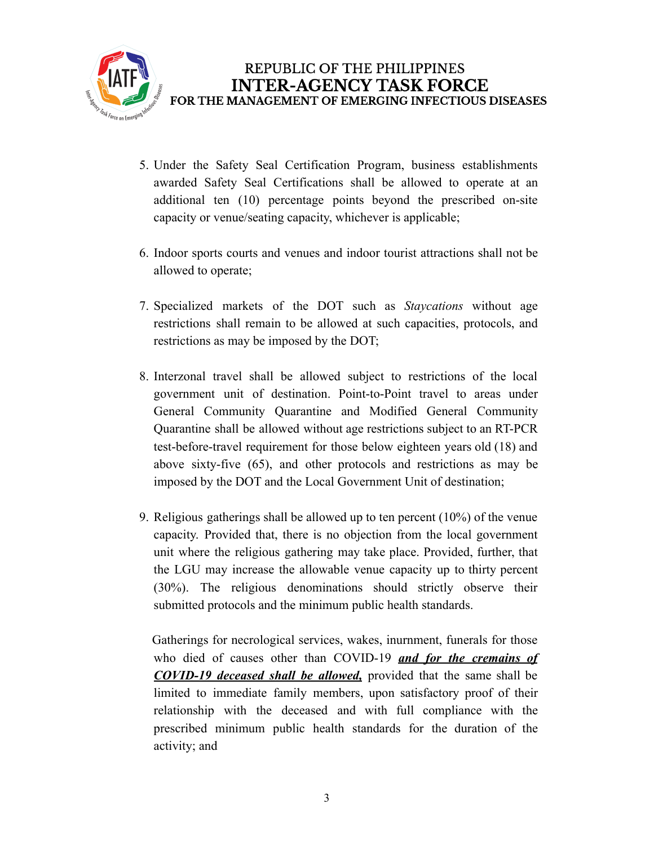

- 5. Under the Safety Seal Certification Program, business establishments awarded Safety Seal Certifications shall be allowed to operate at an additional ten (10) percentage points beyond the prescribed on-site capacity or venue/seating capacity, whichever is applicable;
- 6. Indoor sports courts and venues and indoor tourist attractions shall not be allowed to operate;
- 7. Specialized markets of the DOT such as *Staycations* without age restrictions shall remain to be allowed at such capacities, protocols, and restrictions as may be imposed by the DOT;
- 8. Interzonal travel shall be allowed subject to restrictions of the local government unit of destination. Point-to-Point travel to areas under General Community Quarantine and Modified General Community Quarantine shall be allowed without age restrictions subject to an RT-PCR test-before-travel requirement for those below eighteen years old (18) and above sixty-five (65), and other protocols and restrictions as may be imposed by the DOT and the Local Government Unit of destination;
- 9. Religious gatherings shall be allowed up to ten percent (10%) of the venue capacity. Provided that, there is no objection from the local government unit where the religious gathering may take place. Provided, further, that the LGU may increase the allowable venue capacity up to thirty percent (30%). The religious denominations should strictly observe their submitted protocols and the minimum public health standards.

Gatherings for necrological services, wakes, inurnment, funerals for those who died of causes other than COVID-19 *and for the cremains of COVID-19 deceased shall be allowed,* provided that the same shall be limited to immediate family members, upon satisfactory proof of their relationship with the deceased and with full compliance with the prescribed minimum public health standards for the duration of the activity; and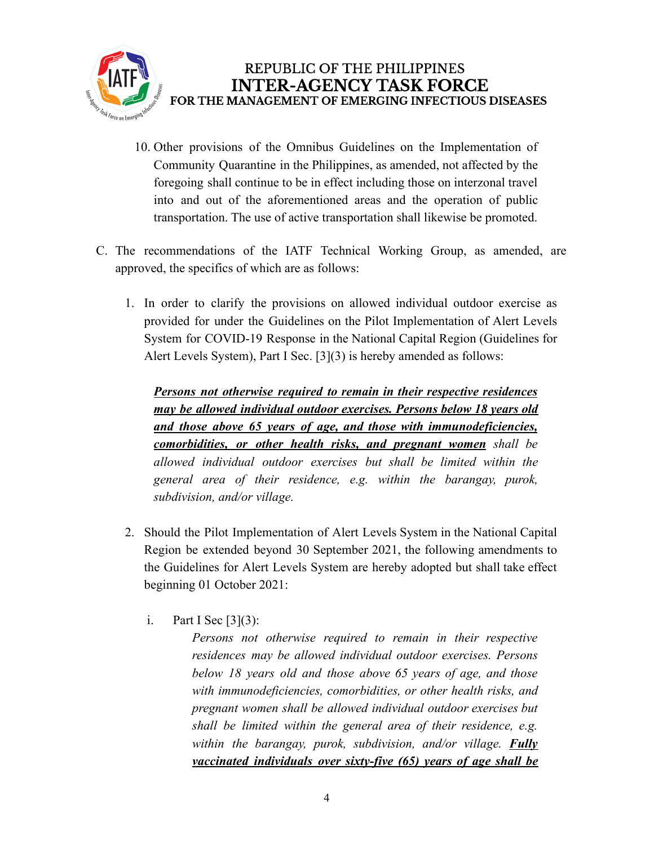

- 10. Other provisions of the Omnibus Guidelines on the Implementation of Community Quarantine in the Philippines, as amended, not affected by the foregoing shall continue to be in effect including those on interzonal travel into and out of the aforementioned areas and the operation of public transportation. The use of active transportation shall likewise be promoted.
- C. The recommendations of the IATF Technical Working Group, as amended, are approved, the specifics of which are as follows:
	- 1. In order to clarify the provisions on allowed individual outdoor exercise as provided for under the Guidelines on the Pilot Implementation of Alert Levels System for COVID-19 Response in the National Capital Region (Guidelines for Alert Levels System), Part I Sec. [3](3) is hereby amended as follows:

*Persons not otherwise required to remain in their respective residences may be allowed individual outdoor exercises. Persons below 18 years old and those above 65 years of age, and those with immunodeficiencies, comorbidities, or other health risks, and pregnant women shall be allowed individual outdoor exercises but shall be limited within the general area of their residence, e.g. within the barangay, purok, subdivision, and/or village.*

- 2. Should the Pilot Implementation of Alert Levels System in the National Capital Region be extended beyond 30 September 2021, the following amendments to the Guidelines for Alert Levels System are hereby adopted but shall take effect beginning 01 October 2021:
	- i. Part I Sec  $[3](3)$ :

*Persons not otherwise required to remain in their respective residences may be allowed individual outdoor exercises. Persons below 18 years old and those above 65 years of age, and those with immunodeficiencies, comorbidities, or other health risks, and pregnant women shall be allowed individual outdoor exercises but shall be limited within the general area of their residence, e.g. within the barangay, purok, subdivision, and/or village. Fully vaccinated individuals over sixty-five (65) years of age shall be*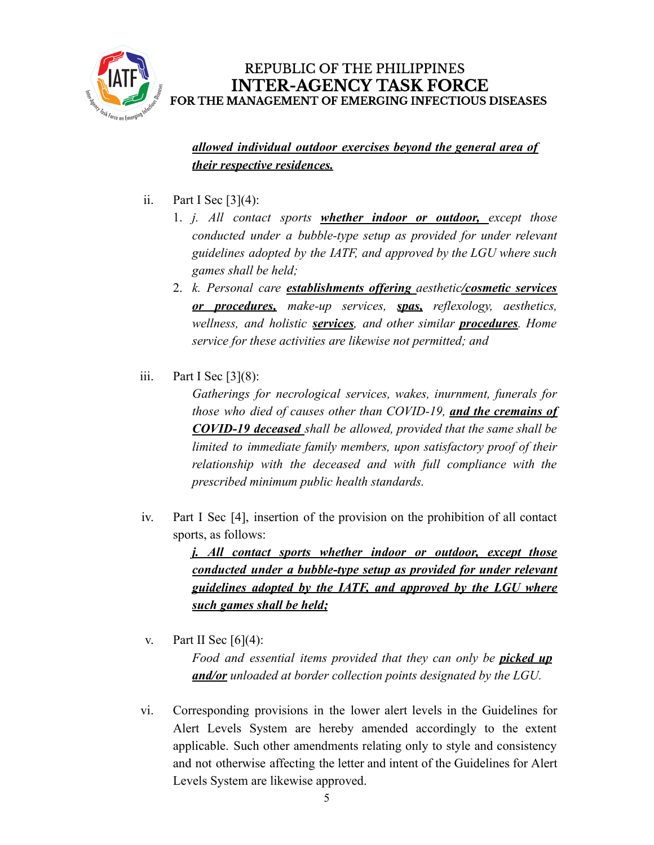

*allowed individual outdoor exercises beyond the general area of their respective residences.*

- ii. Part I Sec  $[3](4)$ :
	- 1. *j. All contact sports whether indoor or outdoor, except those conducted under a bubble-type setup as provided for under relevant guidelines adopted by the IATF, and approved by the LGU where such games shall be held;*
	- 2. *k. Personal care establishments offering aesthetic/cosmetic services or procedures, make-up services, spas, reflexology, aesthetics, wellness, and holistic services, and other similar procedures. Home service for these activities are likewise not permitted; and*
- iii. Part I Sec  $[3](8)$ :

*Gatherings for necrological services, wakes, inurnment, funerals for those who died of causes other than COVID-19, and the cremains of COVID-19 deceased shall be allowed, provided that the same shall be limited to immediate family members, upon satisfactory proof of their relationship with the deceased and with full compliance with the prescribed minimum public health standards.*

iv. Part I Sec [4], insertion of the provision on the prohibition of all contact sports, as follows:

> *j. All contact sports whether indoor or outdoor, except those conducted under a bubble-type setup as provided for under relevant guidelines adopted by the IATF, and approved by the LGU where such games shall be held;*

v. Part II Sec  $[6](4)$ :

*Food and essential items provided that they can only be picked up and/or unloaded at border collection points designated by the LGU.*

vi. Corresponding provisions in the lower alert levels in the Guidelines for Alert Levels System are hereby amended accordingly to the extent applicable. Such other amendments relating only to style and consistency and not otherwise affecting the letter and intent of the Guidelines for Alert Levels System are likewise approved.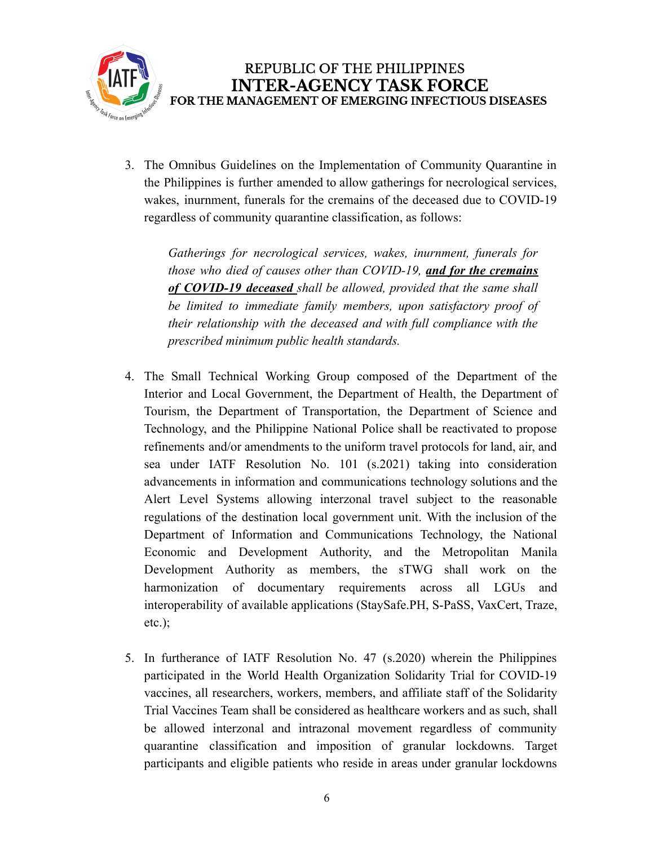

3. The Omnibus Guidelines on the Implementation of Community Quarantine in the Philippines is further amended to allow gatherings for necrological services, wakes, inurnment, funerals for the cremains of the deceased due to COVID-19 regardless of community quarantine classification, as follows:

*Gatherings for necrological services, wakes, inurnment, funerals for those who died of causes other than COVID-19, and for the cremains of COVID-19 deceased shall be allowed, provided that the same shall be limited to immediate family members, upon satisfactory proof of their relationship with the deceased and with full compliance with the prescribed minimum public health standards.*

- 4. The Small Technical Working Group composed of the Department of the Interior and Local Government, the Department of Health, the Department of Tourism, the Department of Transportation, the Department of Science and Technology, and the Philippine National Police shall be reactivated to propose refinements and/or amendments to the uniform travel protocols for land, air, and sea under IATF Resolution No. 101 (s.2021) taking into consideration advancements in information and communications technology solutions and the Alert Level Systems allowing interzonal travel subject to the reasonable regulations of the destination local government unit. With the inclusion of the Department of Information and Communications Technology, the National Economic and Development Authority, and the Metropolitan Manila Development Authority as members, the sTWG shall work on the harmonization of documentary requirements across all LGUs and interoperability of available applications (StaySafe.PH, S-PaSS, VaxCert, Traze, etc.);
- 5. In furtherance of IATF Resolution No. 47 (s.2020) wherein the Philippines participated in the World Health Organization Solidarity Trial for COVID-19 vaccines, all researchers, workers, members, and affiliate staff of the Solidarity Trial Vaccines Team shall be considered as healthcare workers and as such, shall be allowed interzonal and intrazonal movement regardless of community quarantine classification and imposition of granular lockdowns. Target participants and eligible patients who reside in areas under granular lockdowns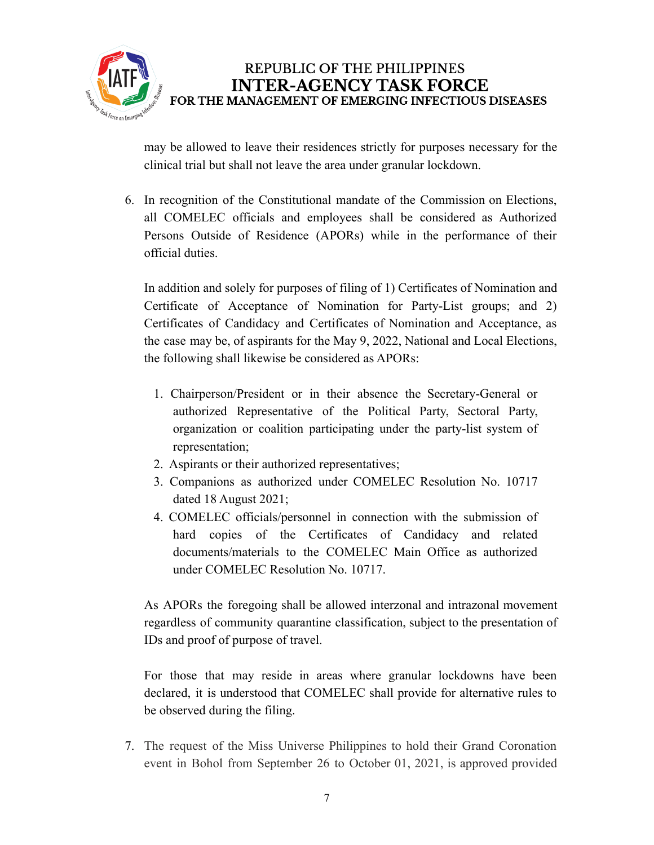

may be allowed to leave their residences strictly for purposes necessary for the clinical trial but shall not leave the area under granular lockdown.

6. In recognition of the Constitutional mandate of the Commission on Elections, all COMELEC officials and employees shall be considered as Authorized Persons Outside of Residence (APORs) while in the performance of their official duties.

In addition and solely for purposes of filing of 1) Certificates of Nomination and Certificate of Acceptance of Nomination for Party-List groups; and 2) Certificates of Candidacy and Certificates of Nomination and Acceptance, as the case may be, of aspirants for the May 9, 2022, National and Local Elections, the following shall likewise be considered as APORs:

- 1. Chairperson/President or in their absence the Secretary-General or authorized Representative of the Political Party, Sectoral Party, organization or coalition participating under the party-list system of representation;
- 2. Aspirants or their authorized representatives;
- 3. Companions as authorized under COMELEC Resolution No. 10717 dated 18 August 2021;
- 4. COMELEC officials/personnel in connection with the submission of hard copies of the Certificates of Candidacy and related documents/materials to the COMELEC Main Office as authorized under COMELEC Resolution No. 10717.

As APORs the foregoing shall be allowed interzonal and intrazonal movement regardless of community quarantine classification, subject to the presentation of IDs and proof of purpose of travel.

For those that may reside in areas where granular lockdowns have been declared, it is understood that COMELEC shall provide for alternative rules to be observed during the filing.

7. The request of the Miss Universe Philippines to hold their Grand Coronation event in Bohol from September 26 to October 01, 2021, is approved provided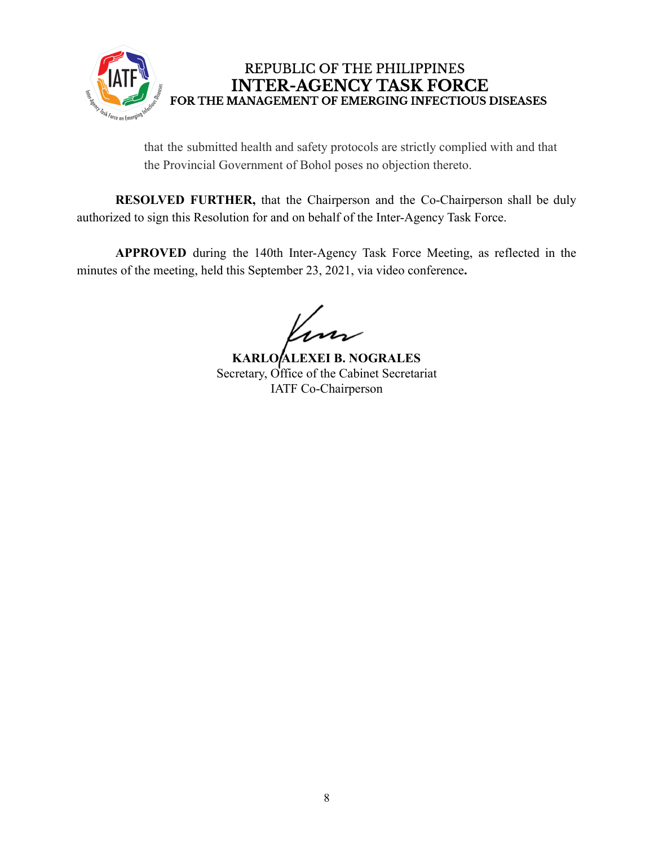

that the submitted health and safety protocols are strictly complied with and that the Provincial Government of Bohol poses no objection thereto.

**RESOLVED FURTHER,** that the Chairperson and the Co-Chairperson shall be duly authorized to sign this Resolution for and on behalf of the Inter-Agency Task Force.

**APPROVED** during the 140th Inter-Agency Task Force Meeting, as reflected in the minutes of the meeting, held this September 23, 2021, via video conference**.**

**KARLO ALEXEI B. NOGRALES** Secretary, Office of the Cabinet Secretariat IATF Co-Chairperson